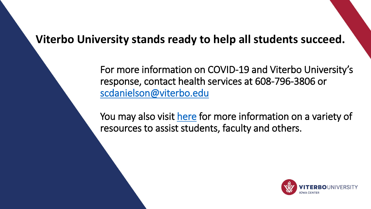# **Viterbo University stands ready to help all students succeed.**

For more information on COVID-19 and Viterbo University's response, contact health services at 608-796-3806 or [scdanielson@viterbo.edu](mailto:scdanielson@viterbo.edu)

You may also visit [here](https://www.viterbo.edu/moving-forward-viterbo) for more information on a variety of resources to assist students, faculty and others.

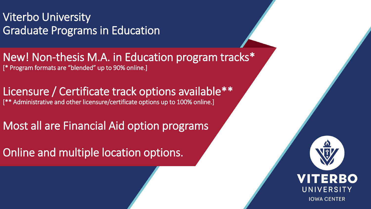Viterbo University Graduate Programs in Education

New! Non-thesis M.A. in Education program tracks\* [\* Program formats are "blended" up to 90% online.]

Licensure / Certificate track options available\*\* [\*\* Administrative and other licensure/certificate options up to 100% online.]

Most all are Financial Aid option programs

Online and multiple location options.

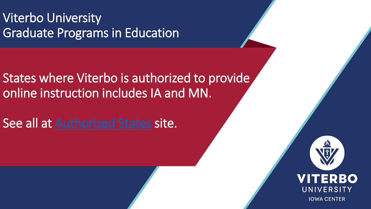Viterbo University Graduate Programs in Education

States where Viterbo is authorized to provide online instruction includes IA and MN.

See all at [Authorized States](https://www.viterbo.edu/graduate-student-admissions/states-where-viterbo-authorized-provide-online-instruction) site.

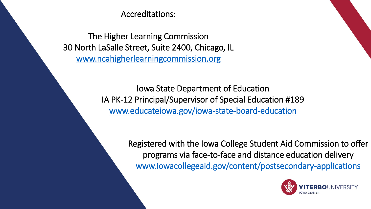Accreditations:

The Higher Learning Commission 30 North LaSalle Street, Suite 2400, Chicago, IL [www.ncahigherlearningcommission.org](http://www.ncahigherlearningcommission.org/)

> Iowa State Department of Education IA PK-12 Principal/Supervisor of Special Education #189 [www.educateiowa.gov/iowa-state-board-education](http://www.educateiowa.gov/iowa-state-board-education)

> > Registered with the Iowa College Student Aid Commission to offer programs via face-to-face and distance education delivery [www.iowacollegeaid.gov/content/postsecondary-applications](http://www.iowacollegeaid.gov/content/postsecondary-applications)

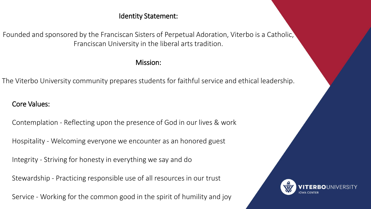#### Identity Statement:

Founded and sponsored by the Franciscan Sisters of Perpetual Adoration, Viterbo is a Catholic, Franciscan University in the liberal arts tradition.

#### Mission:

The Viterbo University community prepares students for faithful service and ethical leadership.

Core Values:

Contemplation - Reflecting upon the presence of God in our lives & work

Hospitality - Welcoming everyone we encounter as an honored guest

Integrity - Striving for honesty in everything we say and do

Stewardship - Practicing responsible use of all resources in our trust

Service - Working for the common good in the spirit of humility and joy

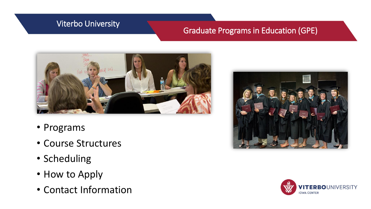## Viterbo University

## Graduate Programs in Education (GPE)



- Programs
- Course Structures
- Scheduling
- How to Apply
- Contact Information



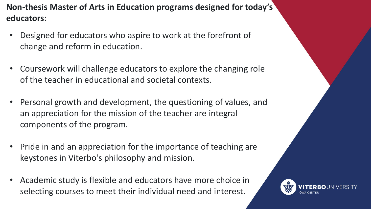**Non-thesis Master of Arts in Education programs designed for today's educators:**

- Designed for educators who aspire to work at the forefront of change and reform in education.
- Coursework will challenge educators to explore the changing role of the teacher in educational and societal contexts.
- Personal growth and development, the questioning of values, and an appreciation for the mission of the teacher are integral components of the program.
- Pride in and an appreciation for the importance of teaching are keystones in Viterbo's philosophy and mission.
- Academic study is flexible and educators have more choice in selecting courses to meet their individual need and interest.

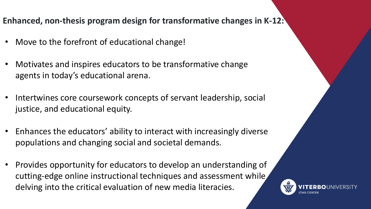## **Enhanced, non-thesis program design for transformative changes in K-12:**

- Move to the forefront of educational change!
- Motivates and inspires educators to be transformative change agents in today's educational arena.
- Intertwines core coursework concepts of servant leadership, social justice, and educational equity.
- Enhances the educators' ability to interact with increasingly diverse populations and changing social and societal demands.
- Provides opportunity for educators to develop an understanding of cutting-edge online instructional techniques and assessment while delving into the critical evaluation of new media literacies.

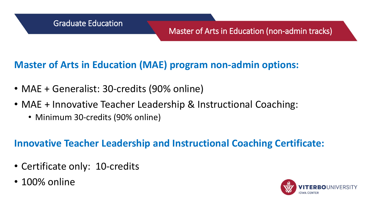# **Master of Arts in Education (MAE) program non-admin options:**

- MAE + Generalist: 30-credits (90% online)
- MAE + Innovative Teacher Leadership & Instructional Coaching:
	- Minimum 30-credits (90% online)

# **Innovative Teacher Leadership and Instructional Coaching Certificate:**

- Certificate only: 10-credits
- 100% online

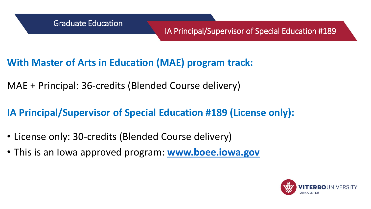- **With Master of Arts in Education (MAE) program track:**
- MAE + Principal: 36-credits (Blended Course delivery)
- **IA Principal/Supervisor of Special Education #189 (License only):**
- License only: 30-credits (Blended Course delivery)
- This is an Iowa approved program: **[www.boee.iowa.gov](http://www.boee.iowa.gov/)**

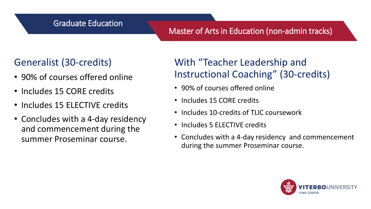## Graduate Education

## Master of Arts in Education (non-admin tracks)

# Generalist (30-credits)

- 90% of courses offered online
- Includes 15 CORE credits
- Includes 15 ELECTIVE credits
- Concludes with a 4-day residency and commencement during the summer Proseminar course.

# With "Teacher Leadership and Instructional Coaching" (30-credits)

- 90% of courses offered online
- Includes 15 CORE credits
- Includes 10-credits of TLIC coursework
- Includes 5 ELECTIVE credits
- Concludes with a 4-day residency and commencement during the summer Proseminar course.

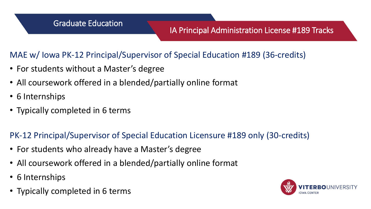## IA Principal Administration License #189 Tracks

MAE w/ Iowa PK-12 Principal/Supervisor of Special Education #189 (36-credits)

- For students without a Master's degree
- All coursework offered in a blended/partially online format
- 6 Internships
- Typically completed in 6 terms

PK-12 Principal/Supervisor of Special Education Licensure #189 only (30-credits)

- For students who already have a Master's degree
- All coursework offered in a blended/partially online format
- 6 Internships
- Typically completed in 6 terms

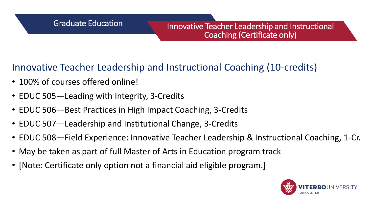# Innovative Teacher Leadership and Instructional Coaching (10-credits)

- 100% of courses offered online!
- EDUC 505—Leading with Integrity, 3-Credits
- EDUC 506—Best Practices in High Impact Coaching, 3-Credits
- EDUC 507—Leadership and Institutional Change, 3-Credits
- EDUC 508—Field Experience: Innovative Teacher Leadership & Instructional Coaching, 1-Cr.
- May be taken as part of full Master of Arts in Education program track
- [Note: Certificate only option not a financial aid eligible program.]

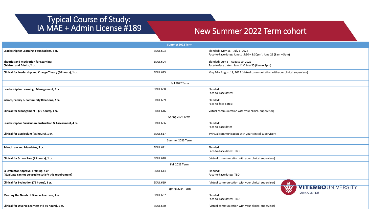#### Typical Course of Study: IA MAE + Admin License #189

### New Summer 2022 Term cohort

| <b>Summer 2022 Term</b>                                                                         |                 |                                                                                                   |  |  |
|-------------------------------------------------------------------------------------------------|-----------------|---------------------------------------------------------------------------------------------------|--|--|
| Leadership for Learning: Foundations, 2 cr.                                                     | <b>EDUL 603</b> | Blended: May 16 - July 1, 2022<br>Face-to-Face dates: June 1 (5:30 - 8:30pm); June 29 (8am - 5pm) |  |  |
| Theories and Motivation for Learning:<br>Children and Adults, 2 cr.                             | <b>EDUL 604</b> | Blended: July 5 - August 19, 2022<br>Face-to-face dates: July 11 & July 25 (8am - 5pm)            |  |  |
| Clinical for Leadership and Change Theory (50 hours), 1 cr.                                     | <b>EDUL 615</b> | May 16 - August 19, 2022 (Virtual communication with your clinical supervisor)                    |  |  |
| Fall 2022 Term                                                                                  |                 |                                                                                                   |  |  |
| Leadership for Learning: Management, 3 cr.                                                      | <b>EDUL 608</b> | Blended:<br>Face-to-Face dates:                                                                   |  |  |
| School, Family & Community Relations, 2 cr.                                                     | <b>EDUL 609</b> | Blended:<br>Face-to-face dates:                                                                   |  |  |
| Clinical for Management II (75 hours), 1 cr.                                                    | <b>EDUL 616</b> | Virtual communication with your clinical supervisor)                                              |  |  |
| Spring 2023 Term                                                                                |                 |                                                                                                   |  |  |
| Leadership for Curriculum, Instruction & Assessment, 4 cr.                                      | <b>EDUL 606</b> | Blended:<br>Face-to-Face dates                                                                    |  |  |
| Clinical for Curriculum (75 hours), 1 cr.                                                       | <b>EDUL 617</b> | (Virtual communication with your clinical supervisor)                                             |  |  |
| Summer 2023 Term                                                                                |                 |                                                                                                   |  |  |
| School Law and Mandates, 3 cr.                                                                  | <b>EDUL 611</b> | Blended:<br>Face-to-Face dates: TBD                                                               |  |  |
| Clinical for School Law (75 hours), 1 cr.                                                       | <b>EDUL 618</b> | (Virtual communication with your clinical supervisor)                                             |  |  |
| Fall 2023 Term                                                                                  |                 |                                                                                                   |  |  |
| Ia Evaluator Approval Training, 4 cr.<br>(iEvaluate cannot be used to satisfy this requirement) | <b>EDUL 614</b> | Blended:<br>Face-to-Face dates: TBD                                                               |  |  |
| Clinical for Evaluation (75 hours), 1 cr.                                                       | <b>EDUL 619</b> | (Virtual communication with your clinical supervisor)<br>▵                                        |  |  |
| <b>NV</b><br><b>VITERBOUNIVERSITY</b><br>Spring 2024 Term                                       |                 |                                                                                                   |  |  |
| Meeting the Needs of Diverse Learners, 4 cr.                                                    | <b>EDUL 607</b> | <b>IOWA CENTER</b><br>Blended:<br>Face-to-Face dates: TBD                                         |  |  |
| Clinical for Diverse Learners VI (50 hours), 1 cr.                                              | <b>EDUL 620</b> | (Virtual communication with your clinical supervisor)                                             |  |  |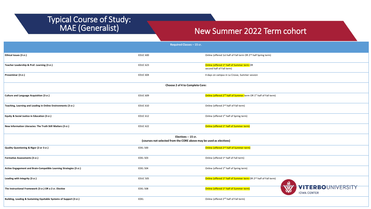# Typical Course of Study:<br>MAE (Generalist)

### New Summer 2022 Term cohort

| Required Classes - 15 cr.                                                                  |                 |                                                                                                |                                         |  |  |
|--------------------------------------------------------------------------------------------|-----------------|------------------------------------------------------------------------------------------------|-----------------------------------------|--|--|
| Ethical Issues (3 cr.)                                                                     | <b>EDUC 600</b> | Online (offered 1st half of Fall term OR 2 <sup>nd</sup> half Spring term)                     |                                         |  |  |
| Teacher Leadership & Prof. Learning (3 cr.)                                                | <b>EDUC 623</b> | Online (offered 1 <sup>st</sup> half of Summer term OR<br>second half of Fall term)            |                                         |  |  |
| Proseminar (3 cr.)                                                                         | <b>EDUC 604</b> | 4 days on campus in La Crosse, Summer session                                                  |                                         |  |  |
| Choose 2 of 4 to Complete Core:                                                            |                 |                                                                                                |                                         |  |  |
| Culture and Language Acquisition (3 cr.)                                                   | <b>EDUC 609</b> | Online (offered 2 <sup>nd</sup> half of Summer term OR 1 <sup>st</sup> half of Fall term)      |                                         |  |  |
| Teaching, Learning and Leading in Online Environments (3 cr.)                              | <b>EDUC 610</b> | Online (offered 2 <sup>nd</sup> half of Fall term)                                             |                                         |  |  |
| Equity & Social Justice in Education (3 cr.)                                               | <b>EDUC 612</b> | Online (offered 1st half of Spring term)                                                       |                                         |  |  |
| New Information Literacies: The Truth Still Matters (3 cr.)                                | <b>EDUC 622</b> | Online (offered 1 <sup>st</sup> half of Summer term)                                           |                                         |  |  |
| Electives -- 15 cr.<br>(courses not selected from the CORE above may be used as electives) |                 |                                                                                                |                                         |  |  |
| Quality Questioning & Rigor (2 or 3 cr.)                                                   | <b>EDEL 500</b> | Online (offered 2 <sup>nd</sup> half of Summer term)                                           |                                         |  |  |
| Formative Assessments (3 cr.)                                                              | <b>EDEL 503</b> | Online (offered 1 <sup>st</sup> half of Fall term)                                             |                                         |  |  |
| Active Engagement and Brain-Compatible Learning Strategies (3 cr.)                         | <b>EDEL 504</b> | Online (offered 1 <sup>st</sup> half of Spring term)                                           |                                         |  |  |
| Leading with Integrity (3 cr.)                                                             | <b>EDUC 505</b> | Online (offered 1 <sup>st</sup> half of Summer term OR 2 <sup>nd</sup> half of Fall term)<br>Ω |                                         |  |  |
| The Instructional Framework (3 cr.) OR a 2 cr. Elective                                    | <b>EDEL 508</b> | Online (offered 1 <sup>st</sup> half of Summer term)                                           | VITERBOUNIVERSITY<br><b>IOWA CENTER</b> |  |  |
| Building, Leading & Sustaining Equitable Systems of Support (3 cr.)                        | EDEL            | Online (offered 2 <sup>nd</sup> half of Fall term)                                             |                                         |  |  |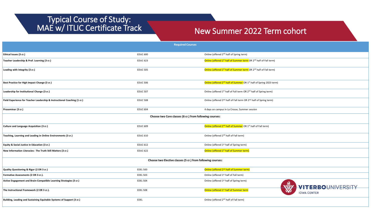# Typical Course of Study:

# MAE w/ ITLIC Certificate Track New Summer 2022 Term cohort

| <b>Required Courses</b>                                                  |                 |                                                                                             |  |  |
|--------------------------------------------------------------------------|-----------------|---------------------------------------------------------------------------------------------|--|--|
| Ethical Issues (3 cr.)                                                   | <b>EDUC 600</b> | Online (offered 2 <sup>nd</sup> half of Spring term)                                        |  |  |
| Teacher Leadership & Prof. Learning (3 cr.)                              | <b>EDUC 623</b> | Online (offered 1st half of Summer term OR 2 <sup>nd</sup> half of Fall term)               |  |  |
| Leading with Integrity (3 cr.)                                           | <b>EDUC 505</b> | Online (offered 1 <sup>st</sup> half of Summer term OR 2 <sup>nd</sup> half of Fall term)   |  |  |
| Best Practice for High Impact Change (3 cr.)                             | <b>EDUC 506</b> | Online (offered 2 <sup>nd</sup> half of Summer OR 1 <sup>st</sup> half of Spring 2023 term) |  |  |
| Leadership for Institutional Change (3 cr.)                              | <b>EDUC 507</b> | Online (offered 1 <sup>st</sup> half of Fall term OR 2 <sup>nd</sup> half of Spring term)   |  |  |
| Field Experience for Teacher Leadership & Instructional Coaching (1 cr.) | <b>EDUC 508</b> | Online (offered 2 <sup>nd</sup> half of Fall term OR 2 <sup>nd</sup> half of Spring term)   |  |  |
| Proseminar (3 cr.)                                                       | <b>EDUC 604</b> | 4 days on campus in La Crosse, Summer session                                               |  |  |
| Choose two Core classes (6 cr.) from following courses:                  |                 |                                                                                             |  |  |
| Culture and Language Acquisition (3 cr.)                                 | <b>EDUC 609</b> | Online (offered 2 <sup>nd</sup> half of Summer OR 1 <sup>st</sup> half of Fall term)        |  |  |
| Teaching, Learning and Leading in Online Environments (3 cr.)            | <b>EDUC 610</b> | Online (offered 2 <sup>nd</sup> half of Fall term)                                          |  |  |
| Equity & Social Justice in Education (3 cr.)                             | <b>EDUC 612</b> | Online (offered 1 <sup>st</sup> half of Spring term)                                        |  |  |
| New Information Literacies: The Truth Still Matters (3 cr.)              | <b>EDUC 622</b> | Online (offered 1 <sup>st</sup> half of Summer term)                                        |  |  |
| Choose two Elective classes (5 cr.) from following courses:              |                 |                                                                                             |  |  |
| Quality Questioning & Rigor (2 OR 3 cr.)                                 | <b>EDEL 500</b> | Online (offered 2 <sup>nd</sup> half of Summer term)                                        |  |  |
| Formative Assessments (2 OR 3 cr.).                                      | <b>EDEL 503</b> | Online (offered 1 <sup>st</sup> half of Fall term)                                          |  |  |
| Active Engagement and Brain-Compatible Learning Strategies (3 cr.)       | <b>EDEL 504</b> | Online (offered 1st half of Spring term)<br><b>VITERBOUNIVERSITY</b>                        |  |  |
| The Instructional Framework (2 OR 3 cr.).                                | <b>EDEL 508</b> | Online (offered 1 <sup>st</sup> half of Summer term<br><b>IOWA CENTER</b>                   |  |  |
| Building, Leading and Sustaining Equitable Systems of Support (3 cr.)    | <b>EDEL</b>     | Online (offered 2 <sup>nd</sup> half of Fall term)                                          |  |  |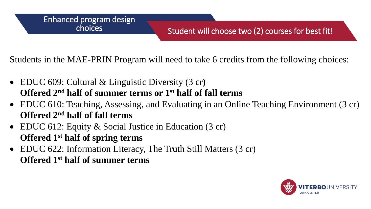Students in the MAE-PRIN Program will need to take 6 credits from the following choices:

- EDUC 609: Cultural & Linguistic Diversity (3 cr**) Offered 2nd half of summer terms or 1st half of fall terms**
- EDUC 610: Teaching, Assessing, and Evaluating in an Online Teaching Environment (3 cr) **Offered 2nd half of fall terms**
- EDUC 612: Equity & Social Justice in Education (3 cr) **Offered 1st half of spring terms**
- EDUC 622: Information Literacy, The Truth Still Matters (3 cr) **Offered 1st half of summer terms**

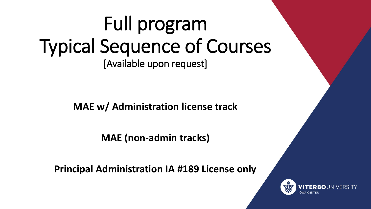# Full program Typical Sequence of Courses [Available upon request]

**MAE w/ Administration license track**

**MAE (non-admin tracks)**

**Principal Administration IA #189 License only**

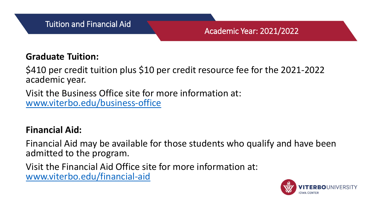# **Graduate Tuition:**

\$410 per credit tuition plus \$10 per credit resource fee for the 2021-2022 academic year.

Visit the Business Office site for more information at: [www.viterbo.edu/business-office](http://www.viterbo.edu/business-office)

# **Financial Aid:**

Financial Aid may be available for those students who qualify and have been admitted to the program.

Visit the Financial Aid Office site for more information at: [www.viterbo.edu/financial-aid](http://www.viterbo.edu/financial-aid)

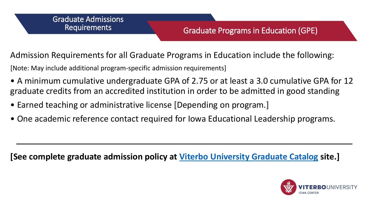## Graduate Programs in Education (GPE)

Admission Requirements for all Graduate Programs in Education include the following:

[Note: May include additional program-specific admission requirements]

- A minimum cumulative undergraduate GPA of 2.75 or at least a 3.0 cumulative GPA for 12 graduate credits from an accredited institution in order to be admitted in good standing
- Earned teaching or administrative license [Depending on program.]
- One academic reference contact required for Iowa Educational Leadership programs.

**[See complete graduate admission policy at [Viterbo University Graduate Catalog](https://www.viterbo.edu/node/26896) site.]**

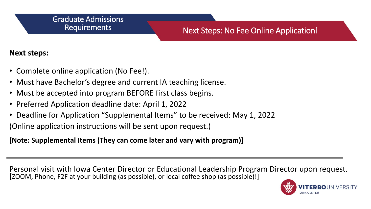#### Graduate Admissions **Requirements**

## Next Steps: No Fee Online Application!

### **Next steps:**

- Complete online application (No Fee!).
- Must have Bachelor's degree and current IA teaching license.
- Must be accepted into program BEFORE first class begins.
- Preferred Application deadline date: April 1, 2022
- Deadline for Application "Supplemental Items" to be received: May 1, 2022

(Online application instructions will be sent upon request.)

**[Note: Supplemental Items (They can come later and vary with program)]**

Personal visit with Iowa Center Director or Educational Leadership Program Director upon request. [ZOOM, Phone, F2F at your building (as possible), or local coffee shop (as possible)!]